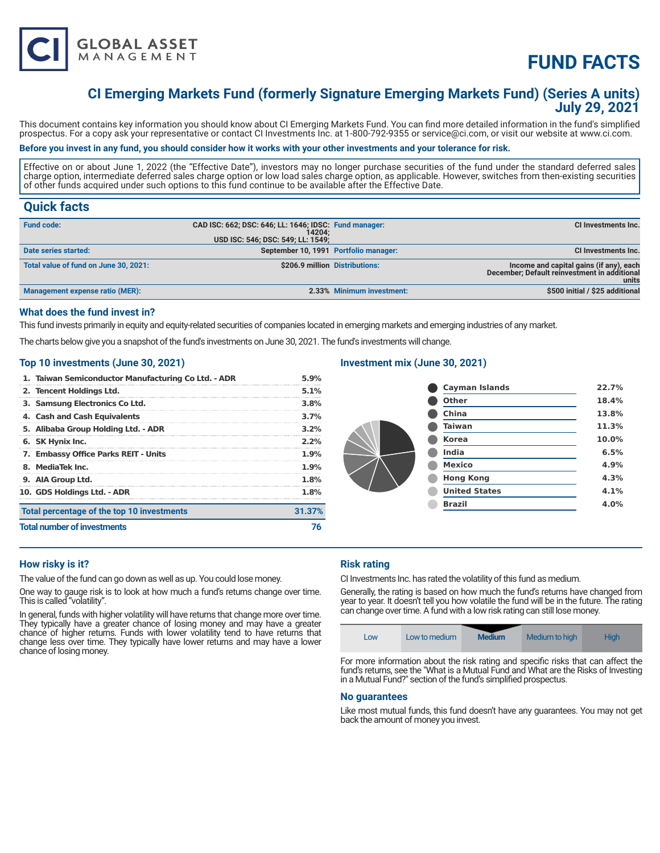

# **FUND FACTS**

# **CI Emerging Markets Fund (formerly Signature Emerging Markets Fund) (Series A units) July 29, 2021**

This document contains key information you should know about CI Emerging Markets Fund. You can find more detailed information in the fund's simplified prospectus. For a copy ask your representative or contact CI Investments Inc. at 1-800-792-9355 or service@ci.com, or visit our website at www.ci.com.

# **Before you invest in any fund, you should consider how it works with your other investments and your tolerance for risk.**

Effective on or about June 1, 2022 (the "Effective Date"), investors may no longer purchase securities of the fund under the standard deferred sales charge option, intermediate deferred sales charge option or low load sales charge option, as applicable. However, switches from then-existing securities of other funds acquired under such options to this fund continue to be available after the Effective Date.

# **Quick facts**

| <b>Fund code:</b>                     | CAD ISC: 662; DSC: 646; LL: 1646; IDSC: Fund manager:<br>14204:<br>USD ISC: 546; DSC: 549; LL: 1549; |                           | CI Investments Inc.                                                                              |
|---------------------------------------|------------------------------------------------------------------------------------------------------|---------------------------|--------------------------------------------------------------------------------------------------|
| Date series started:                  | September 10, 1991 Portfolio manager:                                                                |                           | <b>CI Investments Inc.</b>                                                                       |
| Total value of fund on June 30, 2021: | \$206.9 million Distributions:                                                                       |                           | Income and capital gains (if any), each<br>December; Default reinvestment in additional<br>units |
| Management expense ratio (MER):       |                                                                                                      | 2.33% Minimum investment: | \$500 initial / \$25 additional                                                                  |

#### **What does the fund invest in?**

This fund invests primarily in equity and equity-related securities of companies located in emerging markets and emerging industries of any market.

The charts below give you a snapshot of the fund's investments on June 30, 2021. The fund's investments will change.

### **Top 10 investments (June 30, 2021)**

| 1. Taiwan Semiconductor Manufacturing Co Ltd. - ADR | 5.9%    |
|-----------------------------------------------------|---------|
| 2. Tencent Holdings Ltd.                            | 5.1%    |
| 3. Samsung Electronics Co Ltd.                      | 3.8%    |
| 4. Cash and Cash Equivalents                        | 3.7%    |
| 5. Alibaba Group Holding Ltd. - ADR                 | $3.2\%$ |
| 6. SK Hynix Inc.                                    | 2.2%    |
| 7. Embassy Office Parks REIT - Units                | $1.9\%$ |
| 8. MediaTek Inc.                                    | $1.9\%$ |
| 9. AIA Group Ltd.                                   | 1.8%    |
| 10. GDS Holdings Ltd. - ADR                         | 1.8%    |
| Total percentage of the top 10 investments          | 31.37%  |
| <b>Total number of investments</b>                  |         |

# **Investment mix (June 30, 2021)**

| <b>Cayman Islands</b> | 22.7% |
|-----------------------|-------|
| <b>Other</b>          | 18.4% |
| China                 | 13.8% |
| <b>Taiwan</b>         | 11.3% |
| <b>Korea</b>          | 10.0% |
| India                 | 6.5%  |
| <b>Mexico</b>         | 4.9%  |
| <b>Hong Kong</b>      | 4.3%  |
| <b>United States</b>  | 4.1%  |
| <b>Brazil</b>         | 4.0%  |
|                       |       |

# **How risky is it?**

The value of the fund can go down as well as up. You could lose money.

One way to gauge risk is to look at how much a fund's returns change over time. This is called "volatility".

In general, funds with higher volatility will have returns that change more over time. They typically have a greater chance of losing money and may have a greater chance of higher returns. Funds with lower volatility tend to have returns that change less over time. They typically have lower returns and may have a lower chance of losing money.

#### **Risk rating**

CI Investments Inc. has rated the volatility of this fund as medium.

Generally, the rating is based on how much the fund's returns have changed from year to year. It doesn't tell you how volatile the fund will be in the future. The rating can change over time. A fund with a low risk rating can still lose money.

| LOW | Low to medium | <b>Medium</b> | Medium to high | High |
|-----|---------------|---------------|----------------|------|
|-----|---------------|---------------|----------------|------|

For more information about the risk rating and specific risks that can affect the fund's returns, see the "What is a Mutual Fund and What are the Risks of Investing in a Mutual Fund?" section of the fund's simplified prospectus.

#### **No guarantees**

Like most mutual funds, this fund doesn't have any guarantees. You may not get back the amount of money you invest.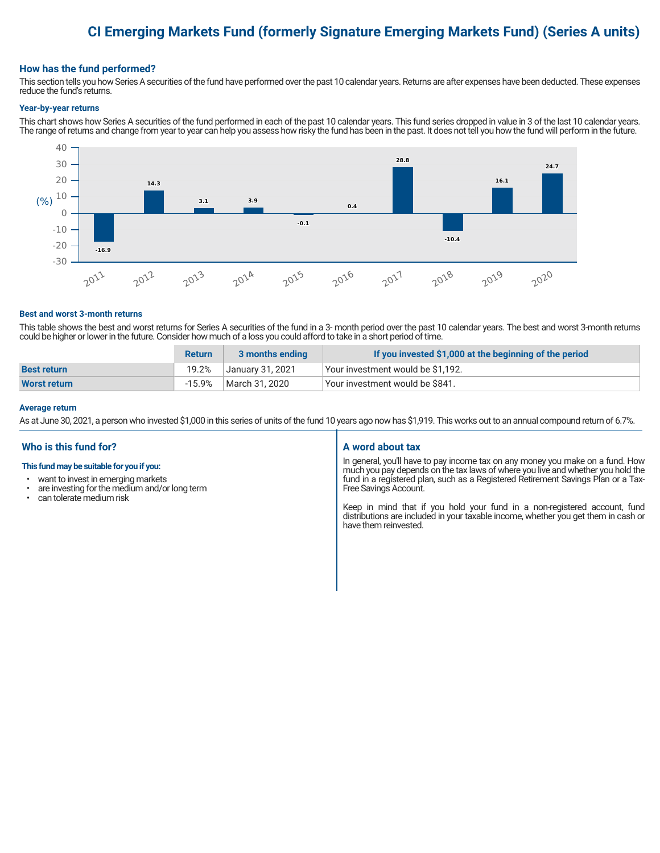# **CI Emerging Markets Fund (formerly Signature Emerging Markets Fund) (Series A units)**

### **How has the fund performed?**

This section tells you how Series A securities of the fund have performed over the past 10 calendar years. Returns are after expenses have been deducted. These expenses reduce the fund's returns.

#### **Year-by-year returns**

This chart shows how Series A securities of the fund performed in each of the past 10 calendar years. This fund series dropped in value in 3 of the last 10 calendar years. The range of returns and change from year to year can help you assess how risky the fund has been in the past. It does not tell you how the fund will perform in the future.



#### **Best and worst 3-month returns**

This table shows the best and worst returns for Series A securities of the fund in a 3- month period over the past 10 calendar years. The best and worst 3-month returns could be higher or lower in the future. Consider how much of a loss you could afford to take in a short period of time.

|                    | <b>Return</b> | 3 months ending  | If you invested \$1,000 at the beginning of the period |
|--------------------|---------------|------------------|--------------------------------------------------------|
| <b>Best return</b> | 19.2%         | January 31, 2021 | Your investment would be \$1,192.                      |
| Worst return       | -15.9%        | March 31. 2020   | Your investment would be \$841.                        |

#### **Average return**

As at June 30, 2021, a person who invested \$1,000 in this series of units of the fund 10 years ago now has \$1,919. This works out to an annual compound return of 6.7%.

# **Who is this fund for?**

#### **This fund may be suitable for you if you:**

- want to invest in emerging markets
- $\cdot$  are investing for the medium and/or long term  $\cdot$  can telerate medium risk
- can tolerate medium risk

#### **A word about tax**

In general, you'll have to pay income tax on any money you make on a fund. How much you pay depends on the tax laws of where you live and whether you hold the fund in a registered plan, such as a Registered Retirement Savings Plan or a Tax-Free Savings Account.

Keep in mind that if you hold your fund in a non-registered account, fund distributions are included in your taxable income, whether you get them in cash or have them reinvested.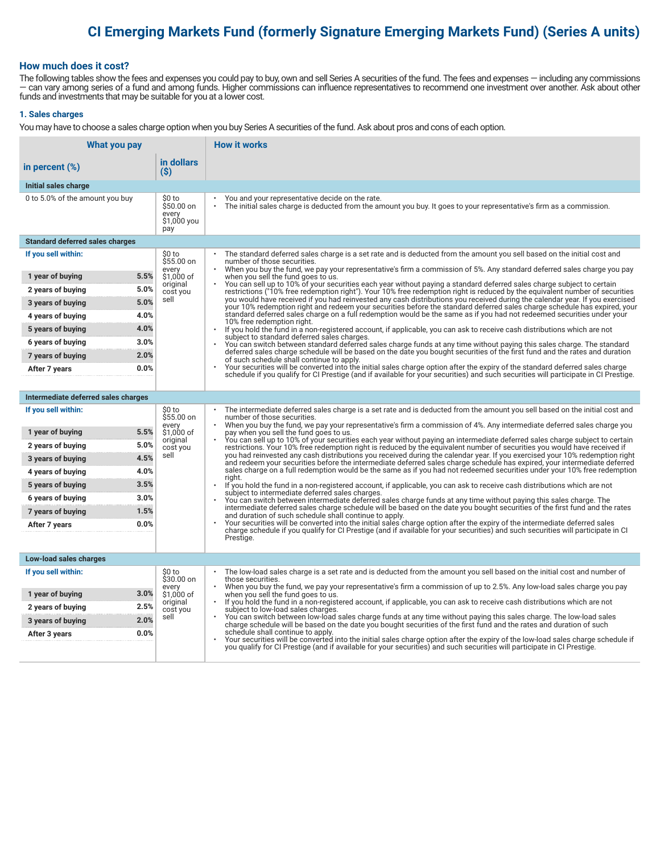# **CI Emerging Markets Fund (formerly Signature Emerging Markets Fund) (Series A units)**

### **How much does it cost?**

The following tables show the fees and expenses you could pay to buy, own and sell Series A securities of the fund. The fees and expenses — including any commissions — can vary among series of a fund and among funds. Higher commissions can influence representatives to recommend one investment over another. Ask about other funds and investments that may be suitable for you at a lower cost.

#### **1. Sales charges**

You may have to choose a sales charge option when you buy Series A securities of the fund. Ask about pros and cons of each option.

| What you pay                                   |                                                     | <b>How it works</b>                                                                                                                                                                                                                                                                                                                                                                                                                                            |
|------------------------------------------------|-----------------------------------------------------|----------------------------------------------------------------------------------------------------------------------------------------------------------------------------------------------------------------------------------------------------------------------------------------------------------------------------------------------------------------------------------------------------------------------------------------------------------------|
| in percent $(\%)$                              | in dollars<br>(S)                                   |                                                                                                                                                                                                                                                                                                                                                                                                                                                                |
| Initial sales charge                           |                                                     |                                                                                                                                                                                                                                                                                                                                                                                                                                                                |
| 0 to 5.0% of the amount you buy                | \$0 to<br>\$50.00 on<br>every<br>\$1,000 you<br>pay | You and your representative decide on the rate.<br>The initial sales charge is deducted from the amount you buy. It goes to your representative's firm as a commission.                                                                                                                                                                                                                                                                                        |
| <b>Standard deferred sales charges</b>         |                                                     |                                                                                                                                                                                                                                                                                                                                                                                                                                                                |
| If you sell within:                            | \$0 to<br>$$55.00$ on                               | The standard deferred sales charge is a set rate and is deducted from the amount you sell based on the initial cost and<br>number of those securities.                                                                                                                                                                                                                                                                                                         |
| 5.5%<br>1 year of buying                       | every<br>\$1,000 of                                 | When you buy the fund, we pay your representative's firm a commission of 5%. Any standard deferred sales charge you pay<br>when you sell the fund goes to us.                                                                                                                                                                                                                                                                                                  |
| 5.0%<br>2 years of buying                      | original<br>cost you                                | You can sell up to 10% of your securities each year without paying a standard deferred sales charge subject to certain<br>restrictions ("10% free redemption right"). Your 10% free redemption right is reduced by the equivalent number of securities                                                                                                                                                                                                         |
| 5.0%<br>3 years of buying                      | sell                                                | you would have received if you had reinvested any cash distributions you received during the calendar year. If you exercised<br>your 10% redemption right and redeem your securities before the standard deferred sales charge schedule has expired, your                                                                                                                                                                                                      |
| 4.0%<br>4 years of buying                      |                                                     | standard deferred sales charge on a full redemption would be the same as if you had not redeemed securities under your<br>10% free redemption right.                                                                                                                                                                                                                                                                                                           |
| 4.0%<br>5 years of buying                      |                                                     | If you hold the fund in a non-registered account, if applicable, you can ask to receive cash distributions which are not<br>subject to standard deferred sales charges.                                                                                                                                                                                                                                                                                        |
| 3.0%<br>6 years of buying                      |                                                     | You can switch between standard deferred sales charge funds at any time without paying this sales charge. The standard<br>deferred sales charge schedule will be based on the date you bought securities of the first fund and the rates and duration                                                                                                                                                                                                          |
| 2.0%<br>7 years of buying                      |                                                     | of such schedule shall continue to apply.                                                                                                                                                                                                                                                                                                                                                                                                                      |
| 0.0%<br>After 7 years                          |                                                     | Your securities will be converted into the initial sales charge option after the expiry of the standard deferred sales charge<br>schedule if you qualify for CI Prestige (and if available for your securities) and such securities will participate in CI Prestige.                                                                                                                                                                                           |
|                                                |                                                     |                                                                                                                                                                                                                                                                                                                                                                                                                                                                |
| Intermediate deferred sales charges            |                                                     |                                                                                                                                                                                                                                                                                                                                                                                                                                                                |
| If you sell within:                            | \$0 to<br>\$55.00 on<br>every                       | The intermediate deferred sales charge is a set rate and is deducted from the amount you sell based on the initial cost and<br>number of those securities.<br>When you buy the fund, we pay your representative's firm a commission of 4%. Any intermediate deferred sales charge you<br>pay when you sell the fund goes to us.<br>You can sell up to 10% of your securities each year without paying an intermediate deferred sales charge subject to certain |
| 5.5%<br>1 year of buying                       | \$1,000 of<br>original                              |                                                                                                                                                                                                                                                                                                                                                                                                                                                                |
| 5.0%<br>2 years of buying                      | cost you<br>sell                                    | restrictions. Your 10% free redemption right is reduced by the equivalent number of securities you would have received if<br>you had reinvested any cash distributions you received during the calendar year. If you exercised your 10% redemption right                                                                                                                                                                                                       |
| 4.5%<br>3 years of buying                      |                                                     | and redeem your securities before the intermediate deferred sales charge schedule has expired, your intermediate deferred<br>sales charge on a full redemption would be the same as if you had not redeemed securities under your 10% free redemption                                                                                                                                                                                                          |
| 4.0%<br>4 years of buying<br>3.5%              |                                                     | riaht.                                                                                                                                                                                                                                                                                                                                                                                                                                                         |
| 5 years of buying<br>3.0%<br>6 years of buying |                                                     | If you hold the fund in a non-registered account, if applicable, you can ask to receive cash distributions which are not<br>subject to intermediate deferred sales charges.                                                                                                                                                                                                                                                                                    |
| 1.5%<br>7 years of buying                      |                                                     | You can switch between intermediate deferred sales charge funds at any time without paying this sales charge. The<br>intermediate deferred sales charge schedule will be based on the date you bought securities of the first fund and the rates                                                                                                                                                                                                               |
| 0.0%<br>After 7 years                          |                                                     | and duration of such schedule shall continue to apply.<br>Your securities will be converted into the initial sales charge option after the expiry of the intermediate deferred sales                                                                                                                                                                                                                                                                           |
|                                                |                                                     | charge schedule if you qualify for CI Prestige (and if available for your securities) and such securities will participate in CI<br>Prestige.                                                                                                                                                                                                                                                                                                                  |
|                                                |                                                     |                                                                                                                                                                                                                                                                                                                                                                                                                                                                |
| Low-load sales charges                         |                                                     |                                                                                                                                                                                                                                                                                                                                                                                                                                                                |
| If you sell within:                            | \$0 to<br>\$30.00 on                                | The low-load sales charge is a set rate and is deducted from the amount you sell based on the initial cost and number of<br>those securities.                                                                                                                                                                                                                                                                                                                  |
| 3.0%<br>1 year of buying                       | every<br>\$1,000 of                                 | When you buy the fund, we pay your representative's firm a commission of up to 2.5%. Any low-load sales charge you pay<br>when you sell the fund goes to us.                                                                                                                                                                                                                                                                                                   |
| 2.5%<br>2 years of buying                      | original<br>cost you                                | If you hold the fund in a non-registered account, if applicable, you can ask to receive cash distributions which are not<br>subject to low-load sales charges.                                                                                                                                                                                                                                                                                                 |
| 2.0%<br>3 years of buying                      | sell                                                | You can switch between low-load sales charge funds at any time without paying this sales charge. The low-load sales<br>charge schedule will be based on the date you bought securities of the first fund and the rates and duration of such                                                                                                                                                                                                                    |
| 0.0%<br>After 3 years                          |                                                     | schedule shall continue to apply.<br>Your securities will be converted into the initial sales charge option after the expiry of the low-load sales charge schedule if                                                                                                                                                                                                                                                                                          |
|                                                |                                                     | you qualify for CI Prestige (and if available for your securities) and such securities will participate in CI Prestige.                                                                                                                                                                                                                                                                                                                                        |